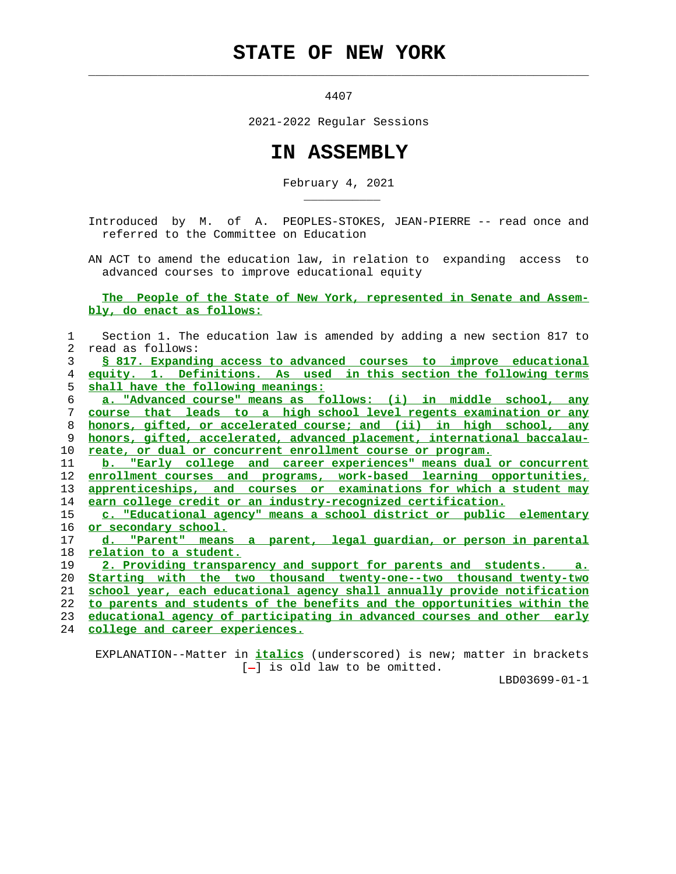## **STATE OF NEW YORK**

4407

 $\mathcal{L}_\text{max} = \frac{1}{2} \sum_{i=1}^{n} \frac{1}{2} \sum_{i=1}^{n} \frac{1}{2} \sum_{i=1}^{n} \frac{1}{2} \sum_{i=1}^{n} \frac{1}{2} \sum_{i=1}^{n} \frac{1}{2} \sum_{i=1}^{n} \frac{1}{2} \sum_{i=1}^{n} \frac{1}{2} \sum_{i=1}^{n} \frac{1}{2} \sum_{i=1}^{n} \frac{1}{2} \sum_{i=1}^{n} \frac{1}{2} \sum_{i=1}^{n} \frac{1}{2} \sum_{i=1}^{n} \frac{1$ 

2021-2022 Regular Sessions

## **IN ASSEMBLY**

February 4, 2021

 Introduced by M. of A. PEOPLES-STOKES, JEAN-PIERRE -- read once and referred to the Committee on Education

 AN ACT to amend the education law, in relation to expanding access to advanced courses to improve educational equity

 **The People of the State of New York, represented in Senate and Assem bly, do enact as follows:**

 1 Section 1. The education law is amended by adding a new section 817 to 2 read as follows: **§ 817. Expanding access to advanced courses to improve educational equity. 1. Definitions. As used in this section the following terms shall have the following meanings: a. "Advanced course" means as follows: (i) in middle school, any course that leads to a high school level regents examination or any honors, gifted, or accelerated course; and (ii) in high school, any honors, gifted, accelerated, advanced placement, international baccalau- reate, or dual or concurrent enrollment course or program. b. "Early college and career experiences" means dual or concurrent enrollment courses and programs, work-based learning opportunities, apprenticeships, and courses or examinations for which a student may earn college credit or an industry-recognized certification. c. "Educational agency" means a school district or public elementary or secondary school. d. "Parent" means a parent, legal guardian, or person in parental relation to a student. 2. Providing transparency and support for parents and students. a. Starting with the two thousand twenty-one--two thousand twenty-two school year, each educational agency shall annually provide notification to parents and students of the benefits and the opportunities within the educational agency of participating in advanced courses and other early**

24 **college and career experiences.**

\_\_\_\_\_\_\_\_\_\_\_

 EXPLANATION--Matter in **italics** (underscored) is new; matter in brackets  $[-]$  is old law to be omitted.

LBD03699-01-1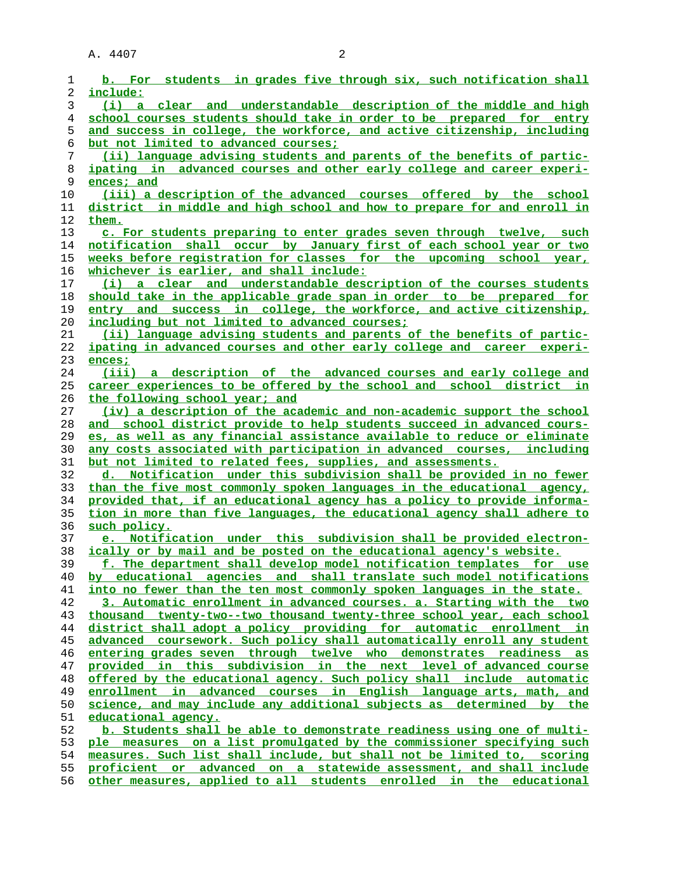A. 4407 2

|          | b. For students in grades five through six, such notification shall                           |
|----------|-----------------------------------------------------------------------------------------------|
| 2        | include:                                                                                      |
| 3        | (i) a clear and understandable description of the middle and high                             |
| 4        | school courses students should take in order to be prepared for entry                         |
| 5        | and success in college, the workforce, and active citizenship, including                      |
| 6        | <u>but not limited to advanced courses;</u>                                                   |
| 7        | (ii) language advising students and parents of the benefits of partic-                        |
| 8        | ipating in advanced courses and other early college and career experi-                        |
| 9        | ences; and                                                                                    |
| 10       | (iii) a description of the advanced courses offered by the school                             |
| 11       | district in middle and high school and how to prepare for and enroll in                       |
| 12       | them.                                                                                         |
| 13       | c. For students preparing to enter grades seven through twelve, such                          |
| 14       | notification shall occur by January first of each school year or two                          |
| 15       | weeks before registration for classes for the upcoming school year,                           |
| 16       | whichever is earlier, and shall include:                                                      |
| 17       | (i) a clear and understandable description of the courses students                            |
| 18       | should take in the applicable grade span in order to be prepared for                          |
| 19       | entry and success in college, the workforce, and active citizenship,                          |
| 20       | <u>including but not limited to advanced courses:</u>                                         |
| 21       | (ii) language advising students and parents of the benefits of partic-                        |
| 22       | ipating in advanced courses and other early college and career experi-                        |
| 23       | ences;                                                                                        |
| 24       | (iii) a description of the advanced courses and early college and                             |
| 25       | career experiences to be offered by the school and school district in                         |
| 26       | the following school year; and                                                                |
| 27       | (iv) a description of the academic and non-academic support the school                        |
| 28       | and school district provide to help students succeed in advanced cours-                       |
| 29       | es, as well as any financial assistance available to reduce or eliminate                      |
| 30       | any costs associated with participation in advanced courses, including                        |
| 31       | but not limited to related fees, supplies, and assessments.                                   |
| 32       | d. Notification under this subdivision shall be provided in no fewer                          |
| 33       |                                                                                               |
|          | than the five most commonly spoken languages in the educational agency,                       |
| 34       | provided that, if an educational agency has a policy to provide informa-                      |
| 35       | tion in more than five languages, the educational agency shall adhere to                      |
| 36       | such policy.                                                                                  |
| 37       | e. Notification under this subdivision shall be provided electron-                            |
| 38       | ically or by mail and be posted on the educational agency's website.                          |
| 39       | The department shall develop model notification templates for use                             |
| 40       | by educational agencies and shall translate such model notifications                          |
| 41       | into no fewer than the ten most commonly spoken languages in the state.                       |
| 42       | 3. Automatic enrollment in advanced courses. a. Starting with the two                         |
| 43       | thousand twenty-two--two thousand twenty-three school year, each school                       |
| 44       | district shall adopt a policy providing for automatic enrollment in                           |
| 45       | advanced coursework. Such policy shall automatically enroll any student                       |
| 46       | entering grades seven through twelve who demonstrates readiness as                            |
| 47       | provided in this subdivision in the next level of advanced course                             |
| 48       | offered by the educational agency. Such policy shall include automatic                        |
| 49       | enrollment in advanced courses in English language arts, math, and                            |
| 50       | science, and may include any additional subjects as determined by the                         |
| 51<br>52 | educational agency.<br>b. Students shall be able to demonstrate readiness using one of multi- |
| 53       | ple measures on a list promulgated by the commissioner specifying such                        |
| 54       | measures. Such list shall include, but shall not be limited to, scoring                       |
| 55       | proficient or advanced on a statewide assessment, and shall include                           |